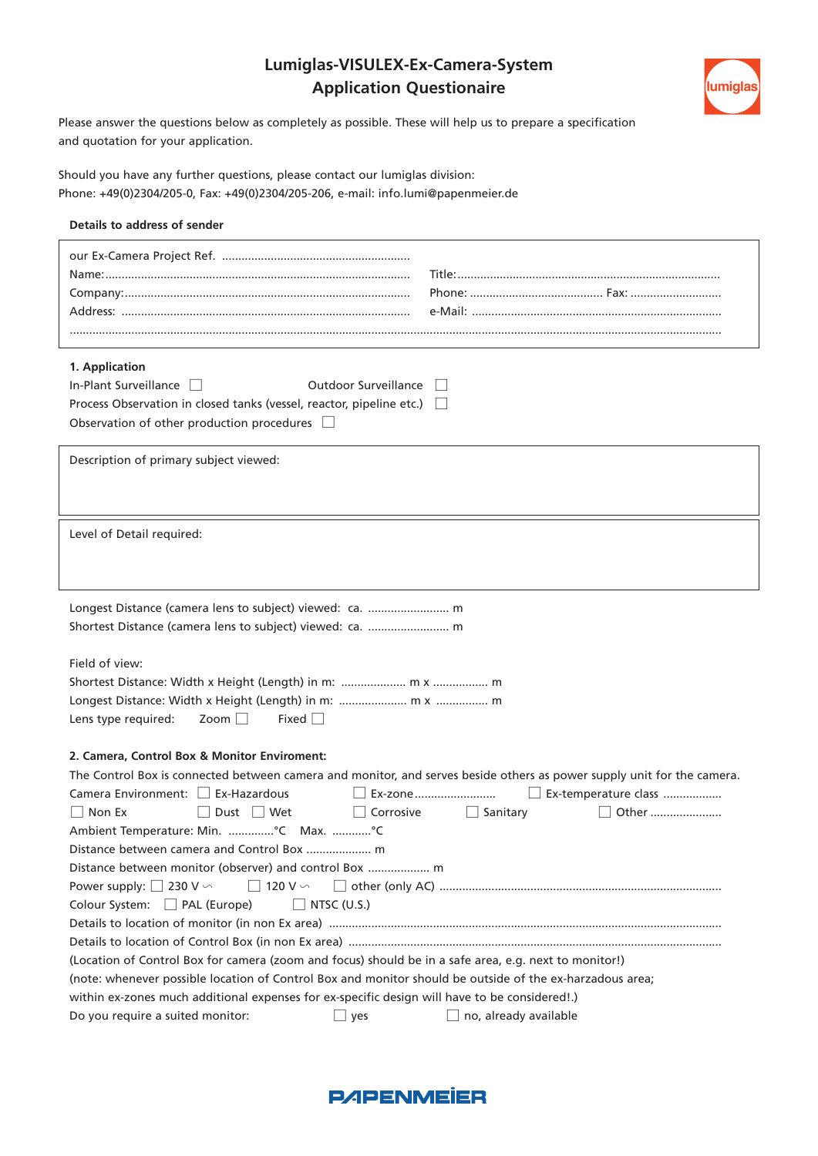## **Lumiglas-VISULEX-Ex-Camera-System Application Questionaire**



Please answer the questions below as completely as possible. These will help us to prepare a specification and quotation for your application.

Should you have any further questions, please contact our lumiglas division: Phone: +49(0)2304/205-0, Fax: +49(0)2304/205-206, e-mail: info.lumi@papenmeier.de

## **Details to address of sender**

| 1. Application                                                                                                         |                                        |
|------------------------------------------------------------------------------------------------------------------------|----------------------------------------|
| In-Plant Surveillance<br><b>Outdoor Surveillance</b>                                                                   |                                        |
| Process Observation in closed tanks (vessel, reactor, pipeline etc.) [                                                 |                                        |
| Observation of other production procedures $\Box$                                                                      |                                        |
|                                                                                                                        |                                        |
| Description of primary subject viewed:                                                                                 |                                        |
|                                                                                                                        |                                        |
|                                                                                                                        |                                        |
| Level of Detail required:                                                                                              |                                        |
|                                                                                                                        |                                        |
|                                                                                                                        |                                        |
|                                                                                                                        |                                        |
| Longest Distance (camera lens to subject) viewed: ca.  m                                                               |                                        |
|                                                                                                                        |                                        |
| Field of view:                                                                                                         |                                        |
|                                                                                                                        |                                        |
|                                                                                                                        |                                        |
|                                                                                                                        |                                        |
| Zoom<br>Fixed<br>Lens type required:                                                                                   |                                        |
| 2. Camera, Control Box & Monitor Enviroment:                                                                           |                                        |
| The Control Box is connected between camera and monitor, and serves beside others as power supply unit for the camera. |                                        |
| Camera Environment: □ Ex-Hazardous                                                                                     | $\Box$ Ex-zone<br>Ex-temperature class |
| $\Box$ Non Ex<br>$\Box$ Dust $\Box$ Wet<br>$\Box$ Corrosive                                                            | $\Box$ Sanitary<br>Other               |
| Ambient Temperature: Min. °C Max. °C                                                                                   |                                        |
| Distance between camera and Control Box  m                                                                             |                                        |
| Distance between monitor (observer) and control Box  m                                                                 |                                        |
| $\Box$ 120 V $\backsim$<br>Power supply: $\Box$ 230 V $\backsim$                                                       |                                        |
| $\Box$ NTSC (U.S.)<br>Colour System: PAL (Europe)                                                                      |                                        |
|                                                                                                                        |                                        |
|                                                                                                                        |                                        |
| (Location of Control Box for camera (zoom and focus) should be in a safe area, e.g. next to monitor!)                  |                                        |
| (note: whenever possible location of Control Box and monitor should be outside of the ex-harzadous area;               |                                        |
| within ex-zones much additional expenses for ex-specific design will have to be considered!.)                          |                                        |
| Do you require a suited monitor:<br>$\overline{\phantom{a}}$ yes                                                       | $\Box$ no, already available           |
|                                                                                                                        |                                        |